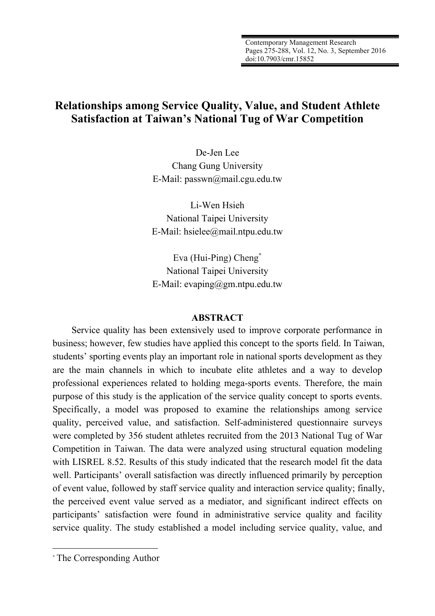# **Relationships among Service Quality, Value, and Student Athlete Satisfaction at Taiwan's National Tug of War Competition**

De-Jen Lee Chang Gung University E-Mail: passwn@mail.cgu.edu.tw

Li-Wen Hsieh National Taipei University E-Mail: hsielee@mail.ntpu.edu.tw

Eva (Hui-Ping) Cheng<sup>∗</sup> National Taipei University E-Mail: evaping@gm.ntpu.edu.tw

# **ABSTRACT**

Service quality has been extensively used to improve corporate performance in business; however, few studies have applied this concept to the sports field. In Taiwan, students' sporting events play an important role in national sports development as they are the main channels in which to incubate elite athletes and a way to develop professional experiences related to holding mega-sports events. Therefore, the main purpose of this study is the application of the service quality concept to sports events. Specifically, a model was proposed to examine the relationships among service quality, perceived value, and satisfaction. Self-administered questionnaire surveys were completed by 356 student athletes recruited from the 2013 National Tug of War Competition in Taiwan. The data were analyzed using structural equation modeling with LISREL 8.52. Results of this study indicated that the research model fit the data well. Participants' overall satisfaction was directly influenced primarily by perception of event value, followed by staff service quality and interaction service quality; finally, the perceived event value served as a mediator, and significant indirect effects on participants' satisfaction were found in administrative service quality and facility service quality. The study established a model including service quality, value, and

1

<sup>∗</sup> The Corresponding Author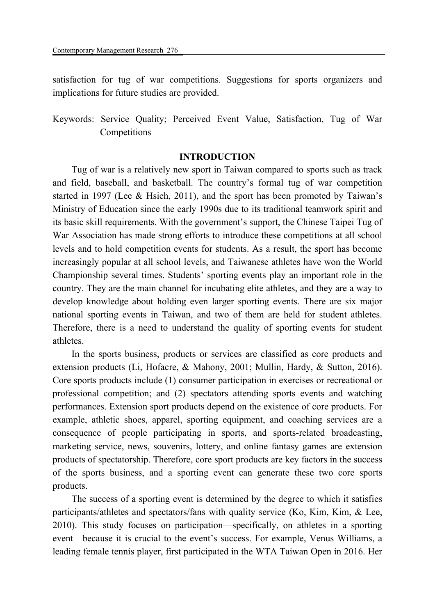satisfaction for tug of war competitions. Suggestions for sports organizers and implications for future studies are provided.

Keywords: Service Quality; Perceived Event Value, Satisfaction, Tug of War Competitions

## **INTRODUCTION**

Tug of war is a relatively new sport in Taiwan compared to sports such as track and field, baseball, and basketball. The country's formal tug of war competition started in 1997 (Lee & Hsieh, 2011), and the sport has been promoted by Taiwan's Ministry of Education since the early 1990s due to its traditional teamwork spirit and its basic skill requirements. With the government's support, the Chinese Taipei Tug of War Association has made strong efforts to introduce these competitions at all school levels and to hold competition events for students. As a result, the sport has become increasingly popular at all school levels, and Taiwanese athletes have won the World Championship several times. Students' sporting events play an important role in the country. They are the main channel for incubating elite athletes, and they are a way to develop knowledge about holding even larger sporting events. There are six major national sporting events in Taiwan, and two of them are held for student athletes. Therefore, there is a need to understand the quality of sporting events for student athletes.

In the sports business, products or services are classified as core products and extension products (Li, Hofacre, & Mahony, 2001; Mullin, Hardy, & Sutton, 2016). Core sports products include (1) consumer participation in exercises or recreational or professional competition; and (2) spectators attending sports events and watching performances. Extension sport products depend on the existence of core products. For example, athletic shoes, apparel, sporting equipment, and coaching services are a consequence of people participating in sports, and sports-related broadcasting, marketing service, news, souvenirs, lottery, and online fantasy games are extension products of spectatorship. Therefore, core sport products are key factors in the success of the sports business, and a sporting event can generate these two core sports products.

The success of a sporting event is determined by the degree to which it satisfies participants/athletes and spectators/fans with quality service (Ko, Kim, Kim, & Lee, 2010). This study focuses on participation—specifically, on athletes in a sporting event—because it is crucial to the event's success. For example, Venus Williams, a leading female tennis player, first participated in the WTA Taiwan Open in 2016. Her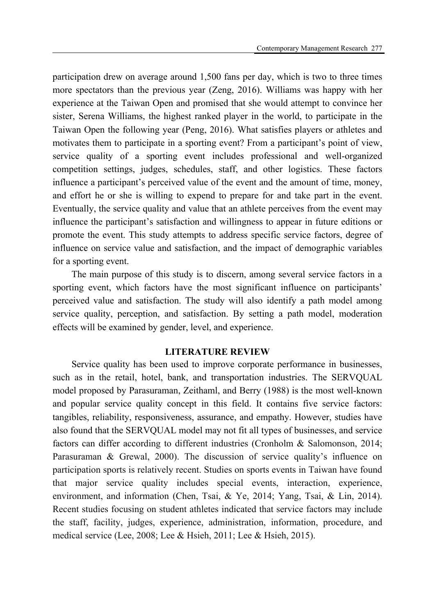participation drew on average around 1,500 fans per day, which is two to three times more spectators than the previous year (Zeng, 2016). Williams was happy with her experience at the Taiwan Open and promised that she would attempt to convince her sister, Serena Williams, the highest ranked player in the world, to participate in the Taiwan Open the following year (Peng, 2016). What satisfies players or athletes and motivates them to participate in a sporting event? From a participant's point of view, service quality of a sporting event includes professional and well-organized competition settings, judges, schedules, staff, and other logistics. These factors influence a participant's perceived value of the event and the amount of time, money, and effort he or she is willing to expend to prepare for and take part in the event. Eventually, the service quality and value that an athlete perceives from the event may influence the participant's satisfaction and willingness to appear in future editions or promote the event. This study attempts to address specific service factors, degree of influence on service value and satisfaction, and the impact of demographic variables for a sporting event.

The main purpose of this study is to discern, among several service factors in a sporting event, which factors have the most significant influence on participants' perceived value and satisfaction. The study will also identify a path model among service quality, perception, and satisfaction. By setting a path model, moderation effects will be examined by gender, level, and experience.

## **LITERATURE REVIEW**

Service quality has been used to improve corporate performance in businesses, such as in the retail, hotel, bank, and transportation industries. The SERVQUAL model proposed by Parasuraman, Zeithaml, and Berry (1988) is the most well-known and popular service quality concept in this field. It contains five service factors: tangibles, reliability, responsiveness, assurance, and empathy. However, studies have also found that the SERVQUAL model may not fit all types of businesses, and service factors can differ according to different industries (Cronholm & Salomonson, 2014; Parasuraman & Grewal, 2000). The discussion of service quality's influence on participation sports is relatively recent. Studies on sports events in Taiwan have found that major service quality includes special events, interaction, experience, environment, and information (Chen, Tsai, & Ye, 2014; Yang, Tsai, & Lin, 2014). Recent studies focusing on student athletes indicated that service factors may include the staff, facility, judges, experience, administration, information, procedure, and medical service (Lee, 2008; Lee & Hsieh, 2011; Lee & Hsieh, 2015).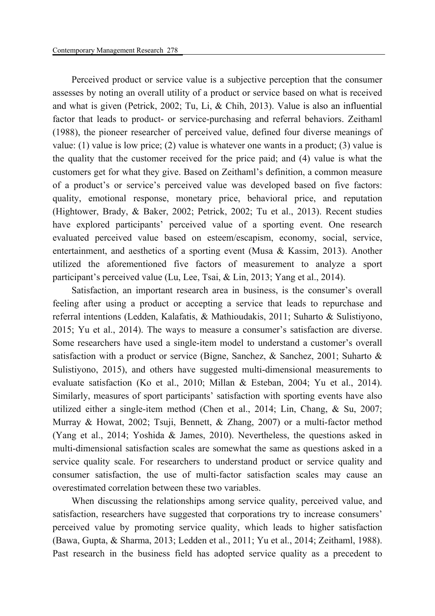Perceived product or service value is a subjective perception that the consumer assesses by noting an overall utility of a product or service based on what is received and what is given (Petrick, 2002; Tu, Li, & Chih, 2013). Value is also an influential factor that leads to product- or service-purchasing and referral behaviors. Zeithaml (1988), the pioneer researcher of perceived value, defined four diverse meanings of value: (1) value is low price; (2) value is whatever one wants in a product; (3) value is the quality that the customer received for the price paid; and (4) value is what the customers get for what they give. Based on Zeithaml's definition, a common measure of a product's or service's perceived value was developed based on five factors: quality, emotional response, monetary price, behavioral price, and reputation (Hightower, Brady, & Baker, 2002; Petrick, 2002; Tu et al., 2013). Recent studies have explored participants' perceived value of a sporting event. One research evaluated perceived value based on esteem/escapism, economy, social, service, entertainment, and aesthetics of a sporting event (Musa & Kassim, 2013). Another utilized the aforementioned five factors of measurement to analyze a sport participant's perceived value (Lu, Lee, Tsai, & Lin, 2013; Yang et al., 2014).

Satisfaction, an important research area in business, is the consumer's overall feeling after using a product or accepting a service that leads to repurchase and referral intentions (Ledden, Kalafatis, & Mathioudakis, 2011; Suharto & Sulistiyono, 2015; Yu et al., 2014). The ways to measure a consumer's satisfaction are diverse. Some researchers have used a single-item model to understand a customer's overall satisfaction with a product or service (Bigne, Sanchez, & Sanchez, 2001; Suharto & Sulistiyono, 2015), and others have suggested multi-dimensional measurements to evaluate satisfaction (Ko et al., 2010; Millan & Esteban, 2004; Yu et al., 2014). Similarly, measures of sport participants' satisfaction with sporting events have also utilized either a single-item method (Chen et al., 2014; Lin, Chang, & Su, 2007; Murray & Howat, 2002; Tsuji, Bennett, & Zhang, 2007) or a multi-factor method (Yang et al., 2014; Yoshida & James, 2010). Nevertheless, the questions asked in multi-dimensional satisfaction scales are somewhat the same as questions asked in a service quality scale. For researchers to understand product or service quality and consumer satisfaction, the use of multi-factor satisfaction scales may cause an overestimated correlation between these two variables.

When discussing the relationships among service quality, perceived value, and satisfaction, researchers have suggested that corporations try to increase consumers' perceived value by promoting service quality, which leads to higher satisfaction (Bawa, Gupta, & Sharma, 2013; Ledden et al., 2011; Yu et al., 2014; Zeithaml, 1988). Past research in the business field has adopted service quality as a precedent to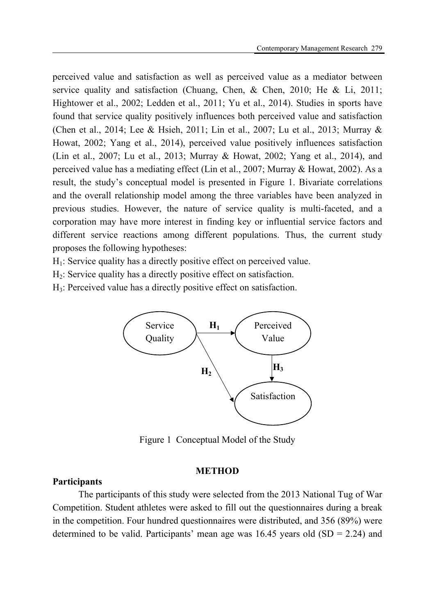perceived value and satisfaction as well as perceived value as a mediator between service quality and satisfaction (Chuang, Chen, & Chen, 2010; He & Li, 2011; Hightower et al., 2002; Ledden et al., 2011; Yu et al., 2014). Studies in sports have found that service quality positively influences both perceived value and satisfaction (Chen et al., 2014; Lee & Hsieh, 2011; Lin et al., 2007; Lu et al., 2013; Murray & Howat, 2002; Yang et al., 2014), perceived value positively influences satisfaction (Lin et al., 2007; Lu et al., 2013; Murray & Howat, 2002; Yang et al., 2014), and perceived value has a mediating effect (Lin et al., 2007; Murray & Howat, 2002). As a result, the study's conceptual model is presented in Figure 1. Bivariate correlations and the overall relationship model among the three variables have been analyzed in previous studies. However, the nature of service quality is multi-faceted, and a corporation may have more interest in finding key or influential service factors and different service reactions among different populations. Thus, the current study proposes the following hypotheses:

 $H<sub>1</sub>$ : Service quality has a directly positive effect on perceived value.

H<sub>2</sub>: Service quality has a directly positive effect on satisfaction.

H3: Perceived value has a directly positive effect on satisfaction.



Figure 1 Conceptual Model of the Study

## **METHOD**

# **Participants**

The participants of this study were selected from the 2013 National Tug of War Competition. Student athletes were asked to fill out the questionnaires during a break in the competition. Four hundred questionnaires were distributed, and 356 (89%) were determined to be valid. Participants' mean age was  $16.45$  years old  $(SD = 2.24)$  and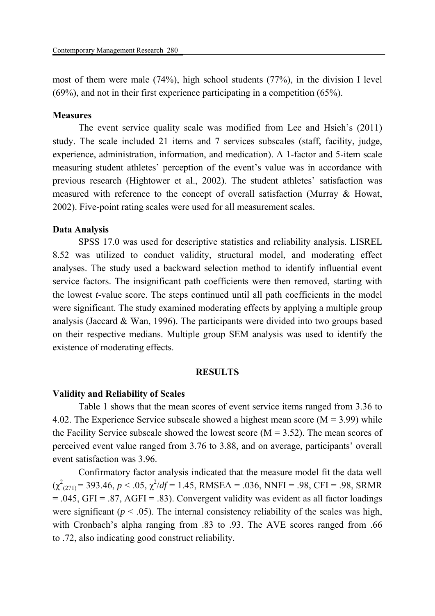most of them were male (74%), high school students (77%), in the division I level (69%), and not in their first experience participating in a competition (65%).

## **Measures**

 The event service quality scale was modified from Lee and Hsieh's (2011) study. The scale included 21 items and 7 services subscales (staff, facility, judge, experience, administration, information, and medication). A 1-factor and 5-item scale measuring student athletes' perception of the event's value was in accordance with previous research (Hightower et al., 2002). The student athletes' satisfaction was measured with reference to the concept of overall satisfaction (Murray & Howat, 2002). Five-point rating scales were used for all measurement scales.

#### **Data Analysis**

 SPSS 17.0 was used for descriptive statistics and reliability analysis. LISREL 8.52 was utilized to conduct validity, structural model, and moderating effect analyses. The study used a backward selection method to identify influential event service factors. The insignificant path coefficients were then removed, starting with the lowest *t*-value score. The steps continued until all path coefficients in the model were significant. The study examined moderating effects by applying a multiple group analysis (Jaccard & Wan, 1996). The participants were divided into two groups based on their respective medians. Multiple group SEM analysis was used to identify the existence of moderating effects.

## **RESULTS**

#### **Validity and Reliability of Scales**

 Table 1 shows that the mean scores of event service items ranged from 3.36 to 4.02. The Experience Service subscale showed a highest mean score  $(M = 3.99)$  while the Facility Service subscale showed the lowest score  $(M = 3.52)$ . The mean scores of perceived event value ranged from 3.76 to 3.88, and on average, participants' overall event satisfaction was 3.96.

 Confirmatory factor analysis indicated that the measure model fit the data well  $(\chi^2_{(271)} = 393.46, p < .05, \chi^2/df = 1.45, RMSEA = .036, NNFI = .98, CFI = .98, SRMR$  $= .045$ , GFI = .87, AGFI = .83). Convergent validity was evident as all factor loadings were significant ( $p < .05$ ). The internal consistency reliability of the scales was high, with Cronbach's alpha ranging from .83 to .93. The AVE scores ranged from .66 to .72, also indicating good construct reliability.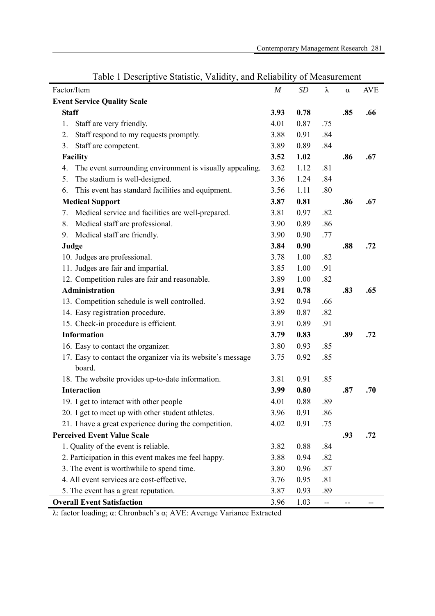| raone i Desemperve Biamsine,<br>r andry, and remadinty<br>Factor/Item | $\boldsymbol{M}$ | <b>SD</b> | λ                 | <b>OT IMPROPRIATION</b><br>$\alpha$ | <b>AVE</b> |
|-----------------------------------------------------------------------|------------------|-----------|-------------------|-------------------------------------|------------|
| <b>Event Service Quality Scale</b>                                    |                  |           |                   |                                     |            |
| <b>Staff</b>                                                          | 3.93             | 0.78      |                   | .85                                 | .66        |
| Staff are very friendly.<br>1.                                        | 4.01             | 0.87      | .75               |                                     |            |
| Staff respond to my requests promptly.<br>2.                          | 3.88             | 0.91      | .84               |                                     |            |
| Staff are competent.<br>3.                                            | 3.89             | 0.89      | .84               |                                     |            |
| <b>Facility</b>                                                       | 3.52             | 1.02      |                   | .86                                 | .67        |
| The event surrounding environment is visually appealing.<br>4.        | 3.62             | 1.12      | .81               |                                     |            |
| The stadium is well-designed.<br>5.                                   | 3.36             | 1.24      | .84               |                                     |            |
| This event has standard facilities and equipment.<br>6.               | 3.56             | 1.11      | .80               |                                     |            |
| <b>Medical Support</b>                                                | 3.87             | 0.81      |                   | .86                                 | .67        |
| Medical service and facilities are well-prepared.<br>7.               | 3.81             | 0.97      | .82               |                                     |            |
| Medical staff are professional.<br>8.                                 | 3.90             | 0.89      | .86               |                                     |            |
| Medical staff are friendly.<br>9.                                     | 3.90             | 0.90      | .77               |                                     |            |
| Judge                                                                 | 3.84             | 0.90      |                   | .88                                 | .72        |
| 10. Judges are professional.                                          | 3.78             | 1.00      | .82               |                                     |            |
| 11. Judges are fair and impartial.                                    | 3.85             | 1.00      | .91               |                                     |            |
| 12. Competition rules are fair and reasonable.                        | 3.89             | 1.00      | .82               |                                     |            |
| Administration                                                        | 3.91             | 0.78      |                   | .83                                 | .65        |
| 13. Competition schedule is well controlled.                          | 3.92             | 0.94      | .66               |                                     |            |
| 14. Easy registration procedure.                                      | 3.89             | 0.87      | .82               |                                     |            |
| 15. Check-in procedure is efficient.                                  | 3.91             | 0.89      | .91               |                                     |            |
| <b>Information</b>                                                    | 3.79             | 0.83      |                   | .89                                 | .72        |
| 16. Easy to contact the organizer.                                    | 3.80             | 0.93      | .85               |                                     |            |
| 17. Easy to contact the organizer via its website's message           | 3.75             | 0.92      | .85               |                                     |            |
| board.                                                                |                  |           |                   |                                     |            |
| 18. The website provides up-to-date information.                      | 3.81             | 0.91      | .85               |                                     |            |
| <b>Interaction</b>                                                    | 3.99             | 0.80      |                   | .87                                 | .70        |
| 19. I get to interact with other people                               | 4.01             | 0.88      | .89               |                                     |            |
| 20. I get to meet up with other student athletes.                     | 3.96             | 0.91      | .86               |                                     |            |
| 21. I have a great experience during the competition.                 | 4.02             | 0.91      | .75               |                                     |            |
| <b>Perceived Event Value Scale</b>                                    |                  |           |                   | .93                                 | .72        |
| 1. Quality of the event is reliable.                                  | 3.82             | 0.88      | .84               |                                     |            |
| 2. Participation in this event makes me feel happy.                   | 3.88             | 0.94      | .82               |                                     |            |
| 3. The event is worthwhile to spend time.                             | 3.80             | 0.96      | .87               |                                     |            |
| 4. All event services are cost-effective.                             | 3.76             | 0.95      | .81               |                                     |            |
| 5. The event has a great reputation.                                  | 3.87             | 0.93      | .89               |                                     |            |
| <b>Overall Event Satisfaction</b>                                     | 3.96             | 1.03      | $\qquad \qquad -$ |                                     |            |

Table 1 Descriptive Statistic, Validity, and Reliability of Measurement

λ: factor loading; α: Chronbach's α; AVE: Average Variance Extracted

l,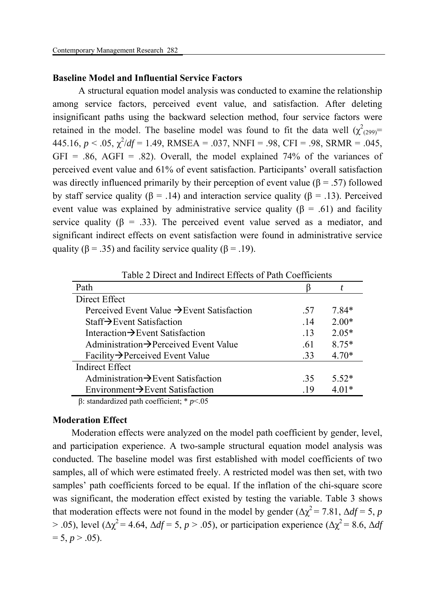## **Baseline Model and Influential Service Factors**

 A structural equation model analysis was conducted to examine the relationship among service factors, perceived event value, and satisfaction. After deleting insignificant paths using the backward selection method, four service factors were retained in the model. The baseline model was found to fit the data well  $(\chi^2_{(299)}$ =  $445.16, p < .05, \chi^2/df = 1.49, RMSEA = .037, NNFI = .98, CFI = .98, SRMR = .045,$ GFI = .86, AGFI = .82). Overall, the model explained 74% of the variances of perceived event value and 61% of event satisfaction. Participants' overall satisfaction was directly influenced primarily by their perception of event value ( $\beta$  = .57) followed by staff service quality ( $\beta = .14$ ) and interaction service quality ( $\beta = .13$ ). Perceived event value was explained by administrative service quality ( $\beta$  = .61) and facility service quality ( $\beta$  = .33). The perceived event value served as a mediator, and significant indirect effects on event satisfaction were found in administrative service quality ( $\beta$  = .35) and facility service quality ( $\beta$  = .19).

| Path                                                   |     |         |  |  |  |  |  |
|--------------------------------------------------------|-----|---------|--|--|--|--|--|
| Direct Effect                                          |     |         |  |  |  |  |  |
| Perceived Event Value $\rightarrow$ Event Satisfaction | .57 | 7.84*   |  |  |  |  |  |
| $Staff \rightarrow$ Event Satisfaction                 | .14 | $2.00*$ |  |  |  |  |  |
| Interaction $\rightarrow$ Event Satisfaction           | .13 | $2.05*$ |  |  |  |  |  |
| Administration $\rightarrow$ Perceived Event Value     | .61 | $8.75*$ |  |  |  |  |  |
| Facility $\rightarrow$ Perceived Event Value           | .33 | $4.70*$ |  |  |  |  |  |
| <b>Indirect Effect</b>                                 |     |         |  |  |  |  |  |
| Administration $\rightarrow$ Event Satisfaction        | .35 | $5.52*$ |  |  |  |  |  |
| Environment→Event Satisfaction                         | -19 | $4.01*$ |  |  |  |  |  |

Table 2 Direct and Indirect Effects of Path Coefficients

β: standardized path coefficient; \* *p*<.05

# **Moderation Effect**

Moderation effects were analyzed on the model path coefficient by gender, level, and participation experience. A two-sample structural equation model analysis was conducted. The baseline model was first established with model coefficients of two samples, all of which were estimated freely. A restricted model was then set, with two samples' path coefficients forced to be equal. If the inflation of the chi-square score was significant, the moderation effect existed by testing the variable. Table 3 shows that moderation effects were not found in the model by gender ( $\Delta \chi^2 = 7.81$ ,  $\Delta df = 5$ , *p*  $>$  .05), level ( $\Delta \chi^2$  = 4.64,  $\Delta df$  = 5, *p*  $>$  .05), or participation experience ( $\Delta \chi^2$  = 8.6,  $\Delta df$  $= 5, p > .05$ ).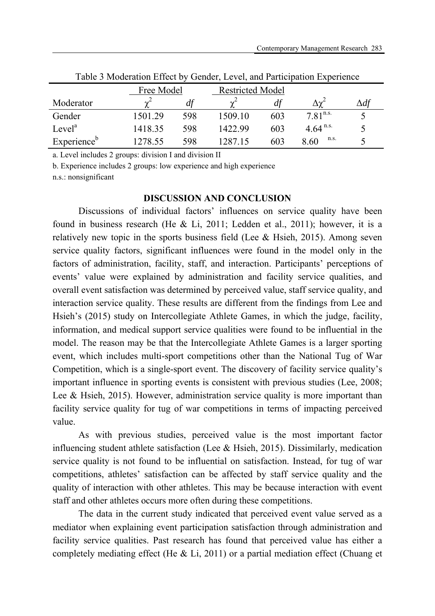|                         | Free Model |     | <b>Restricted Model</b> |     |               |             |
|-------------------------|------------|-----|-------------------------|-----|---------------|-------------|
| Moderator               |            | df  |                         | df  | Δγ            | $\Delta df$ |
| Gender                  | 1501.29    | 598 | 1509.10                 | 603 | $7.81^{n.s.}$ |             |
| Level <sup>a</sup>      | 1418.35    | 598 | 1422.99                 | 603 | $4.64^{n.s.}$ |             |
| Experience <sup>b</sup> | 1278.55    | 598 | 287 15                  | 603 | n.s.<br>8.60  |             |

Table 3 Moderation Effect by Gender, Level, and Participation Experience

a. Level includes 2 groups: division I and division II

b. Experience includes 2 groups: low experience and high experience

n.s.: nonsignificant

## **DISCUSSION AND CONCLUSION**

 Discussions of individual factors' influences on service quality have been found in business research (He & Li, 2011; Ledden et al., 2011); however, it is a relatively new topic in the sports business field (Lee & Hsieh, 2015). Among seven service quality factors, significant influences were found in the model only in the factors of administration, facility, staff, and interaction. Participants' perceptions of events' value were explained by administration and facility service qualities, and overall event satisfaction was determined by perceived value, staff service quality, and interaction service quality. These results are different from the findings from Lee and Hsieh's (2015) study on Intercollegiate Athlete Games, in which the judge, facility, information, and medical support service qualities were found to be influential in the model. The reason may be that the Intercollegiate Athlete Games is a larger sporting event, which includes multi-sport competitions other than the National Tug of War Competition, which is a single-sport event. The discovery of facility service quality's important influence in sporting events is consistent with previous studies (Lee, 2008; Lee & Hsieh, 2015). However, administration service quality is more important than facility service quality for tug of war competitions in terms of impacting perceived value.

 As with previous studies, perceived value is the most important factor influencing student athlete satisfaction (Lee & Hsieh, 2015). Dissimilarly, medication service quality is not found to be influential on satisfaction. Instead, for tug of war competitions, athletes' satisfaction can be affected by staff service quality and the quality of interaction with other athletes. This may be because interaction with event staff and other athletes occurs more often during these competitions.

 The data in the current study indicated that perceived event value served as a mediator when explaining event participation satisfaction through administration and facility service qualities. Past research has found that perceived value has either a completely mediating effect (He & Li, 2011) or a partial mediation effect (Chuang et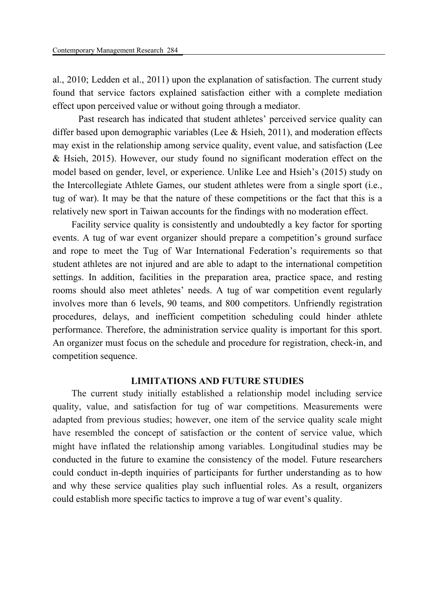al., 2010; Ledden et al., 2011) upon the explanation of satisfaction. The current study found that service factors explained satisfaction either with a complete mediation effect upon perceived value or without going through a mediator.

 Past research has indicated that student athletes' perceived service quality can differ based upon demographic variables (Lee & Hsieh, 2011), and moderation effects may exist in the relationship among service quality, event value, and satisfaction (Lee & Hsieh, 2015). However, our study found no significant moderation effect on the model based on gender, level, or experience. Unlike Lee and Hsieh's (2015) study on the Intercollegiate Athlete Games, our student athletes were from a single sport (i.e., tug of war). It may be that the nature of these competitions or the fact that this is a relatively new sport in Taiwan accounts for the findings with no moderation effect.

Facility service quality is consistently and undoubtedly a key factor for sporting events. A tug of war event organizer should prepare a competition's ground surface and rope to meet the Tug of War International Federation's requirements so that student athletes are not injured and are able to adapt to the international competition settings. In addition, facilities in the preparation area, practice space, and resting rooms should also meet athletes' needs. A tug of war competition event regularly involves more than 6 levels, 90 teams, and 800 competitors. Unfriendly registration procedures, delays, and inefficient competition scheduling could hinder athlete performance. Therefore, the administration service quality is important for this sport. An organizer must focus on the schedule and procedure for registration, check-in, and competition sequence.

# **LIMITATIONS AND FUTURE STUDIES**

The current study initially established a relationship model including service quality, value, and satisfaction for tug of war competitions. Measurements were adapted from previous studies; however, one item of the service quality scale might have resembled the concept of satisfaction or the content of service value, which might have inflated the relationship among variables. Longitudinal studies may be conducted in the future to examine the consistency of the model. Future researchers could conduct in-depth inquiries of participants for further understanding as to how and why these service qualities play such influential roles. As a result, organizers could establish more specific tactics to improve a tug of war event's quality.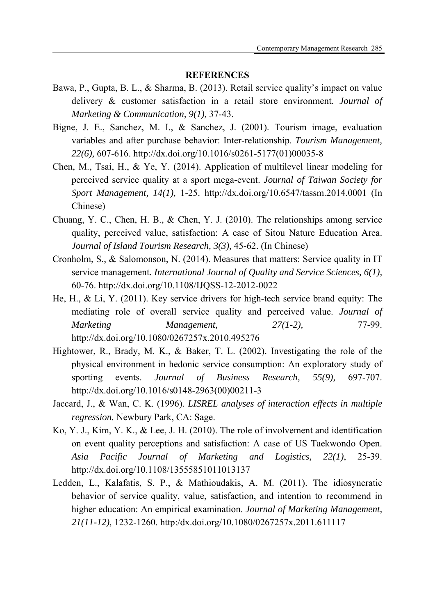#### **REFERENCES**

- Bawa, P., Gupta, B. L., & Sharma, B. (2013). Retail service quality's impact on value delivery & customer satisfaction in a retail store environment. *Journal of Marketing & Communication, 9(1),* 37-43.
- Bigne, J. E., Sanchez, M. I., & Sanchez, J. (2001). Tourism image, evaluation variables and after purchase behavior: Inter-relationship. *Tourism Management, 22(6),* 607-616. http://dx.doi.org/10.1016/s0261-5177(01)00035-8
- Chen, M., Tsai, H., & Ye, Y. (2014). Application of multilevel linear modeling for perceived service quality at a sport mega-event. *Journal of Taiwan Society for Sport Management, 14(1),* 1-25. http://dx.doi.org/10.6547/tassm.2014.0001 (In Chinese)
- Chuang, Y. C., Chen, H. B., & Chen, Y. J. (2010). The relationships among service quality, perceived value, satisfaction: A case of Sitou Nature Education Area. *Journal of Island Tourism Research, 3(3),* 45-62. (In Chinese)
- Cronholm, S., & Salomonson, N. (2014). Measures that matters: Service quality in IT service management. *International Journal of Quality and Service Sciences, 6(1),* 60-76. http://dx.doi.org/10.1108/IJQSS-12-2012-0022
- He, H., & Li, Y. (2011). Key service drivers for high-tech service brand equity: The mediating role of overall service quality and perceived value. *Journal of Marketing Management, 27(1-2), 77-99.* http://dx.doi.org/10.1080/0267257x.2010.495276
- Hightower, R., Brady, M. K., & Baker, T. L. (2002). Investigating the role of the physical environment in hedonic service consumption: An exploratory study of sporting events. *Journal of Business Research, 55(9),* 697-707. http://dx.doi.org/10.1016/s0148-2963(00)00211-3
- Jaccard, J., & Wan, C. K. (1996). *LISREL analyses of interaction effects in multiple regression.* Newbury Park, CA: Sage.
- Ko, Y. J., Kim, Y. K., & Lee, J. H. (2010). The role of involvement and identification on event quality perceptions and satisfaction: A case of US Taekwondo Open. *Asia Pacific Journal of Marketing and Logistics, 22(1)*, 25-39. http://dx.doi.org/10.1108/13555851011013137
- Ledden, L., Kalafatis, S. P., & Mathioudakis, A. M. (2011). The idiosyncratic behavior of service quality, value, satisfaction, and intention to recommend in higher education: An empirical examination. *Journal of Marketing Management, 21(11-12),* 1232-1260. http:/dx.doi.org/10.1080/0267257x.2011.611117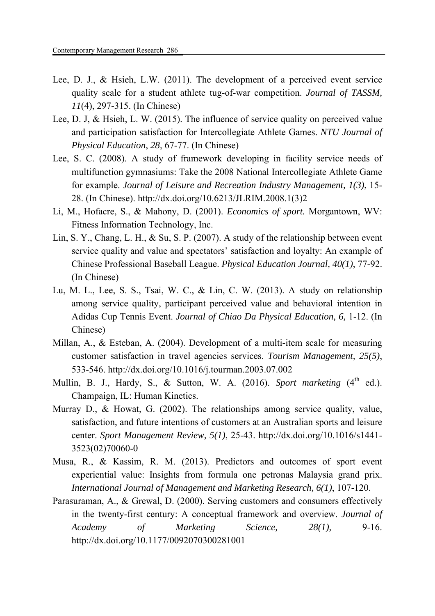- Lee, D. J., & Hsieh, L.W. (2011). The development of a perceived event service quality scale for a student athlete tug-of-war competition. *Journal of TASSM, 11*(4), 297-315. (In Chinese)
- Lee, D. J, & Hsieh, L. W. (2015). The influence of service quality on perceived value and participation satisfaction for Intercollegiate Athlete Games. *NTU Journal of Physical Education*, *28*, 67-77. (In Chinese)
- Lee, S. C. (2008). A study of framework developing in facility service needs of multifunction gymnasiums: Take the 2008 National Intercollegiate Athlete Game for example. *Journal of Leisure and Recreation Industry Management, 1(3)*, 15- 28. (In Chinese). http://dx.doi.org/10.6213/JLRIM.2008.1(3)2
- Li, M., Hofacre, S., & Mahony, D. (2001). *Economics of sport.* Morgantown, WV: Fitness Information Technology, Inc.
- Lin, S. Y., Chang, L. H., & Su, S. P. (2007). A study of the relationship between event service quality and value and spectators' satisfaction and loyalty: An example of Chinese Professional Baseball League. *Physical Education Journal, 40(1)*, 77-92. (In Chinese)
- Lu, M. L., Lee, S. S., Tsai, W. C., & Lin, C. W. (2013). A study on relationship among service quality, participant perceived value and behavioral intention in Adidas Cup Tennis Event. *Journal of Chiao Da Physical Education, 6,* 1-12. (In Chinese)
- Millan, A., & Esteban, A. (2004). Development of a multi-item scale for measuring customer satisfaction in travel agencies services. *Tourism Management, 25(5)*, 533-546. http://dx.doi.org/10.1016/j.tourman.2003.07.002
- Mullin, B. J., Hardy, S., & Sutton, W. A. (2016). *Sport marketing* (4<sup>th</sup> ed.). Champaign, IL: Human Kinetics.
- Murray D., & Howat, G. (2002). The relationships among service quality, value, satisfaction, and future intentions of customers at an Australian sports and leisure center. *Sport Management Review, 5(1)*, 25-43. http://dx.doi.org/10.1016/s1441- 3523(02)70060-0
- Musa, R., & Kassim, R. M. (2013). Predictors and outcomes of sport event experiential value: Insights from formula one petronas Malaysia grand prix. *International Journal of Management and Marketing Research, 6(1)*, 107-120.
- Parasuraman, A., & Grewal, D. (2000). Serving customers and consumers effectively in the twenty-first century: A conceptual framework and overview. *Journal of Academy of Marketing Science, 28(1),* 9-16. http://dx.doi.org/10.1177/0092070300281001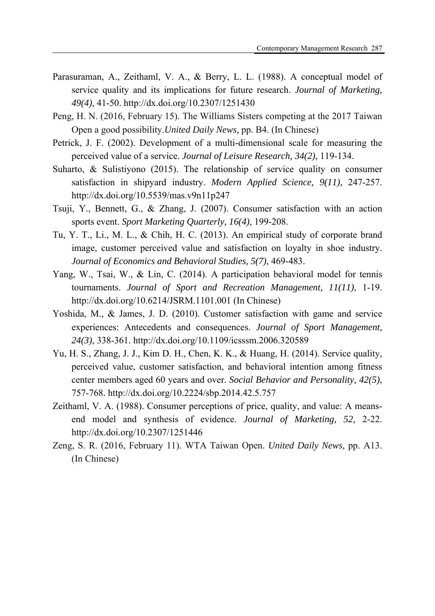- Parasuraman, A., Zeithaml, V. A., & Berry, L. L. (1988). A conceptual model of service quality and its implications for future research. *Journal of Marketing, 49(4)*, 41-50. http://dx.doi.org/10.2307/1251430
- Peng, H. N. (2016, February 15). The Williams Sisters competing at the 2017 Taiwan Open a good possibility.*United Daily News,* pp. B4. (In Chinese)
- Petrick, J. F. (2002). Development of a multi-dimensional scale for measuring the perceived value of a service. *Journal of Leisure Research, 34(2),* 119-134.
- Suharto, & Sulistiyono (2015). The relationship of service quality on consumer satisfaction in shipyard industry. *Modern Applied Science, 9(11),* 247-257. http://dx.doi.org/10.5539/mas.v9n11p247
- Tsuji, Y., Bennett, G., & Zhang, J. (2007). Consumer satisfaction with an action sports event. *Sport Marketing Quarterly, 16(4)*, 199-208.
- Tu, Y. T., Li., M. L., & Chih, H. C. (2013). An empirical study of corporate brand image, customer perceived value and satisfaction on loyalty in shoe industry. *Journal of Economics and Behavioral Studies, 5(7)*, 469-483.
- Yang, W., Tsai, W., & Lin, C. (2014). A participation behavioral model for tennis tournaments. *Journal of Sport and Recreation Management, 11(11)*, 1-19. http://dx.doi.org/10.6214/JSRM.1101.001 (In Chinese)
- Yoshida, M., & James, J. D. (2010). Customer satisfaction with game and service experiences: Antecedents and consequences. *Journal of Sport Management, 24(3)*, 338-361. http://dx.doi.org/10.1109/icsssm.2006.320589
- Yu, H. S., Zhang, J. J., Kim D. H., Chen, K. K., & Huang, H. (2014). Service quality, perceived value, customer satisfaction, and behavioral intention among fitness center members aged 60 years and over. *Social Behavior and Personality, 42(5)*, 757-768. http://dx.doi.org/10.2224/sbp.2014.42.5.757
- Zeithaml, V. A. (1988). Consumer perceptions of price, quality, and value: A meansend model and synthesis of evidence. *Journal of Marketing, 52,* 2-22. http://dx.doi.org/10.2307/1251446
- Zeng, S. R. (2016, February 11). WTA Taiwan Open. *United Daily News,* pp. A13. (In Chinese)